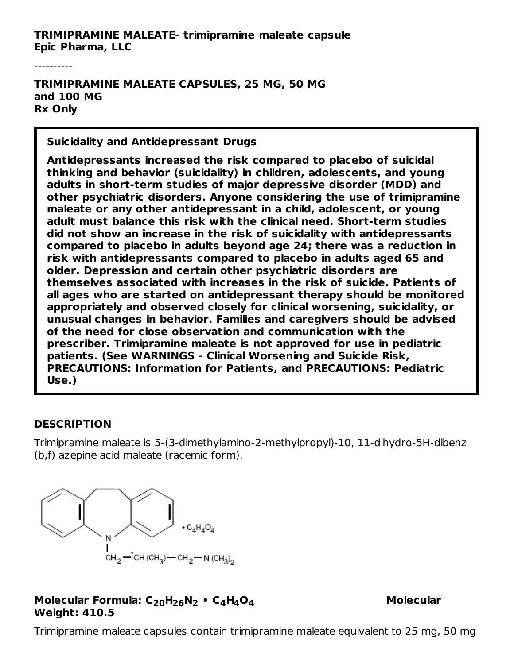### **TRIMIPRAMINE MALEATE- trimipramine maleate capsule Epic Pharma, LLC**

----------

**TRIMIPRAMINE MALEATE CAPSULES, 25 MG, 50 MG and 100 MG Rx Only**

### **Suicidality and Antidepressant Drugs**

**Antidepressants increased the risk compared to placebo of suicidal thinking and behavior (suicidality) in children, adolescents, and young adults in short-term studies of major depressive disorder (MDD) and other psychiatric disorders. Anyone considering the use of trimipramine maleate or any other antidepressant in a child, adolescent, or young adult must balance this risk with the clinical need. Short-term studies did not show an increase in the risk of suicidality with antidepressants compared to placebo in adults beyond age 24; there was a reduction in risk with antidepressants compared to placebo in adults aged 65 and older. Depression and certain other psychiatric disorders are themselves associated with increases in the risk of suicide. Patients of all ages who are started on antidepressant therapy should be monitored appropriately and observed closely for clinical worsening, suicidality, or unusual changes in behavior. Families and caregivers should be advised of the need for close observation and communication with the prescriber. Trimipramine maleate is not approved for use in pediatric patients. (See WARNINGS - Clinical Worsening and Suicide Risk, PRECAUTIONS: Information for Patients, and PRECAUTIONS: Pediatric Use.)**

### **DESCRIPTION**

Trimipramine maleate is 5-(3-dimethylamino-2-methylpropyl)-10, 11-dihydro-5H-dibenz (b,f) azepine acid maleate (racemic form).



### **2015 • Molecular Formula:** C<sub>20</sub>H<sub>26</sub>N<sub>2</sub> • C<sub>4</sub>H<sub>4</sub>O<sub>4</sub> Molecular **Weight: 410.5**

Trimipramine maleate capsules contain trimipramine maleate equivalent to 25 mg, 50 mg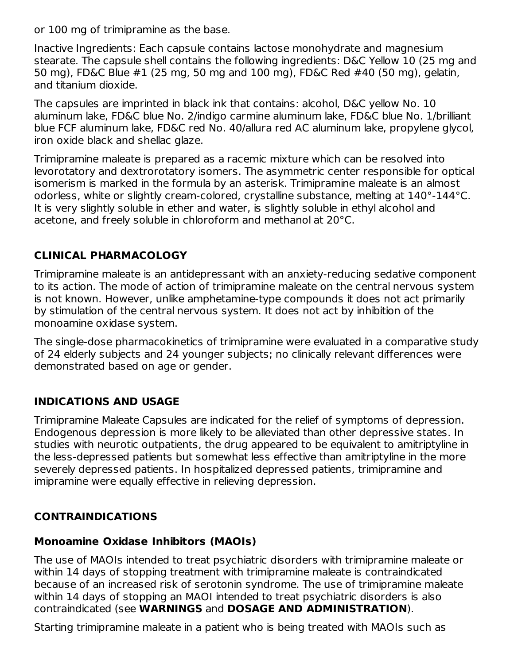or 100 mg of trimipramine as the base.

Inactive Ingredients: Each capsule contains lactose monohydrate and magnesium stearate. The capsule shell contains the following ingredients: D&C Yellow 10 (25 mg and 50 mg), FD&C Blue #1 (25 mg, 50 mg and 100 mg), FD&C Red #40 (50 mg), gelatin, and titanium dioxide.

The capsules are imprinted in black ink that contains: alcohol, D&C yellow No. 10 aluminum lake, FD&C blue No. 2/indigo carmine aluminum lake, FD&C blue No. 1/brilliant blue FCF aluminum lake, FD&C red No. 40/allura red AC aluminum lake, propylene glycol, iron oxide black and shellac glaze.

Trimipramine maleate is prepared as a racemic mixture which can be resolved into levorotatory and dextrorotatory isomers. The asymmetric center responsible for optical isomerism is marked in the formula by an asterisk. Trimipramine maleate is an almost odorless, white or slightly cream-colored, crystalline substance, melting at 140°-144°C. It is very slightly soluble in ether and water, is slightly soluble in ethyl alcohol and acetone, and freely soluble in chloroform and methanol at 20°C.

## **CLINICAL PHARMACOLOGY**

Trimipramine maleate is an antidepressant with an anxiety-reducing sedative component to its action. The mode of action of trimipramine maleate on the central nervous system is not known. However, unlike amphetamine-type compounds it does not act primarily by stimulation of the central nervous system. It does not act by inhibition of the monoamine oxidase system.

The single-dose pharmacokinetics of trimipramine were evaluated in a comparative study of 24 elderly subjects and 24 younger subjects; no clinically relevant differences were demonstrated based on age or gender.

## **INDICATIONS AND USAGE**

Trimipramine Maleate Capsules are indicated for the relief of symptoms of depression. Endogenous depression is more likely to be alleviated than other depressive states. In studies with neurotic outpatients, the drug appeared to be equivalent to amitriptyline in the less-depressed patients but somewhat less effective than amitriptyline in the more severely depressed patients. In hospitalized depressed patients, trimipramine and imipramine were equally effective in relieving depression.

# **CONTRAINDICATIONS**

## **Monoamine Oxidase Inhibitors (MAOIs)**

The use of MAOIs intended to treat psychiatric disorders with trimipramine maleate or within 14 days of stopping treatment with trimipramine maleate is contraindicated because of an increased risk of serotonin syndrome. The use of trimipramine maleate within 14 days of stopping an MAOI intended to treat psychiatric disorders is also contraindicated (see **WARNINGS** and **DOSAGE AND ADMINISTRATION**).

Starting trimipramine maleate in a patient who is being treated with MAOIs such as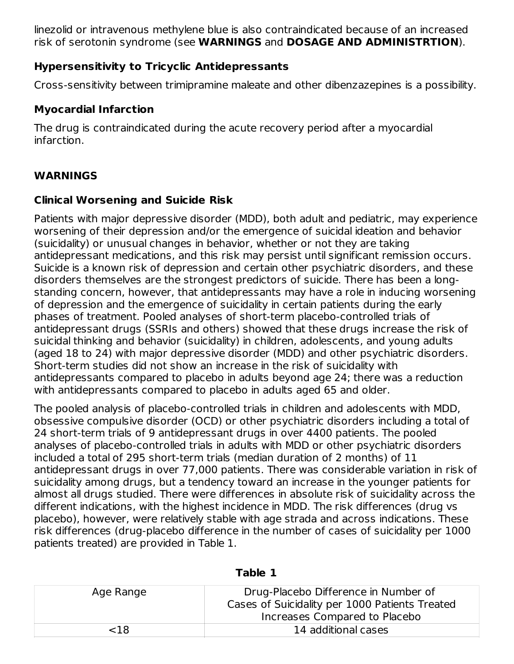linezolid or intravenous methylene blue is also contraindicated because of an increased risk of serotonin syndrome (see **WARNINGS** and **DOSAGE AND ADMINISTRTION**).

## **Hypersensitivity to Tricyclic Antidepressants**

Cross-sensitivity between trimipramine maleate and other dibenzazepines is a possibility.

## **Myocardial Infarction**

The drug is contraindicated during the acute recovery period after a myocardial infarction.

## **WARNINGS**

## **Clinical Worsening and Suicide Risk**

Patients with major depressive disorder (MDD), both adult and pediatric, may experience worsening of their depression and/or the emergence of suicidal ideation and behavior (suicidality) or unusual changes in behavior, whether or not they are taking antidepressant medications, and this risk may persist until significant remission occurs. Suicide is a known risk of depression and certain other psychiatric disorders, and these disorders themselves are the strongest predictors of suicide. There has been a longstanding concern, however, that antidepressants may have a role in inducing worsening of depression and the emergence of suicidality in certain patients during the early phases of treatment. Pooled analyses of short-term placebo-controlled trials of antidepressant drugs (SSRIs and others) showed that these drugs increase the risk of suicidal thinking and behavior (suicidality) in children, adolescents, and young adults (aged 18 to 24) with major depressive disorder (MDD) and other psychiatric disorders. Short-term studies did not show an increase in the risk of suicidality with antidepressants compared to placebo in adults beyond age 24; there was a reduction with antidepressants compared to placebo in adults aged 65 and older.

The pooled analysis of placebo-controlled trials in children and adolescents with MDD, obsessive compulsive disorder (OCD) or other psychiatric disorders including a total of 24 short-term trials of 9 antidepressant drugs in over 4400 patients. The pooled analyses of placebo-controlled trials in adults with MDD or other psychiatric disorders included a total of 295 short-term trials (median duration of 2 months) of 11 antidepressant drugs in over 77,000 patients. There was considerable variation in risk of suicidality among drugs, but a tendency toward an increase in the younger patients for almost all drugs studied. There were differences in absolute risk of suicidality across the different indications, with the highest incidence in MDD. The risk differences (drug vs placebo), however, were relatively stable with age strada and across indications. These risk differences (drug-placebo difference in the number of cases of suicidality per 1000 patients treated) are provided in Table 1.

| Age Range | Drug-Placebo Difference in Number of<br>Cases of Suicidality per 1000 Patients Treated |
|-----------|----------------------------------------------------------------------------------------|
|           | Increases Compared to Placebo                                                          |
| <18       | 14 additional cases                                                                    |

**Table 1**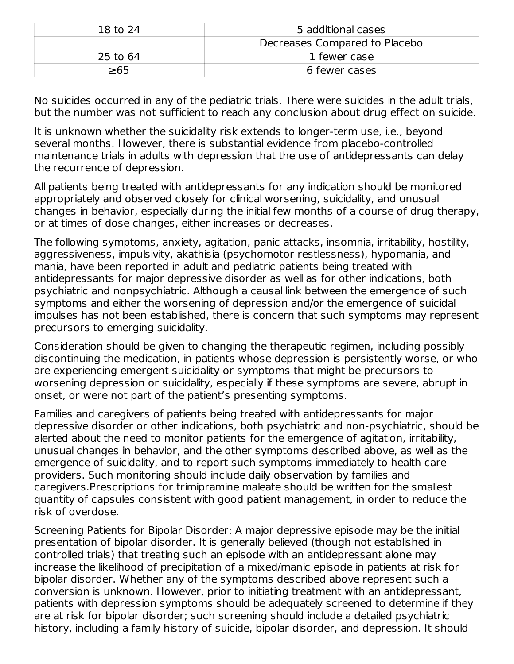| 18 to 24  | 5 additional cases            |
|-----------|-------------------------------|
|           | Decreases Compared to Placebo |
| 25 to 64  | 1 fewer case                  |
| $\geq 65$ | 6 fewer cases                 |

No suicides occurred in any of the pediatric trials. There were suicides in the adult trials, but the number was not sufficient to reach any conclusion about drug effect on suicide.

It is unknown whether the suicidality risk extends to longer-term use, i.e., beyond several months. However, there is substantial evidence from placebo-controlled maintenance trials in adults with depression that the use of antidepressants can delay the recurrence of depression.

All patients being treated with antidepressants for any indication should be monitored appropriately and observed closely for clinical worsening, suicidality, and unusual changes in behavior, especially during the initial few months of a course of drug therapy, or at times of dose changes, either increases or decreases.

The following symptoms, anxiety, agitation, panic attacks, insomnia, irritability, hostility, aggressiveness, impulsivity, akathisia (psychomotor restlessness), hypomania, and mania, have been reported in adult and pediatric patients being treated with antidepressants for major depressive disorder as well as for other indications, both psychiatric and nonpsychiatric. Although a causal link between the emergence of such symptoms and either the worsening of depression and/or the emergence of suicidal impulses has not been established, there is concern that such symptoms may represent precursors to emerging suicidality.

Consideration should be given to changing the therapeutic regimen, including possibly discontinuing the medication, in patients whose depression is persistently worse, or who are experiencing emergent suicidality or symptoms that might be precursors to worsening depression or suicidality, especially if these symptoms are severe, abrupt in onset, or were not part of the patient's presenting symptoms.

Families and caregivers of patients being treated with antidepressants for major depressive disorder or other indications, both psychiatric and non-psychiatric, should be alerted about the need to monitor patients for the emergence of agitation, irritability, unusual changes in behavior, and the other symptoms described above, as well as the emergence of suicidality, and to report such symptoms immediately to health care providers. Such monitoring should include daily observation by families and caregivers.Prescriptions for trimipramine maleate should be written for the smallest quantity of capsules consistent with good patient management, in order to reduce the risk of overdose.

Screening Patients for Bipolar Disorder: A major depressive episode may be the initial presentation of bipolar disorder. It is generally believed (though not established in controlled trials) that treating such an episode with an antidepressant alone may increase the likelihood of precipitation of a mixed/manic episode in patients at risk for bipolar disorder. Whether any of the symptoms described above represent such a conversion is unknown. However, prior to initiating treatment with an antidepressant, patients with depression symptoms should be adequately screened to determine if they are at risk for bipolar disorder; such screening should include a detailed psychiatric history, including a family history of suicide, bipolar disorder, and depression. It should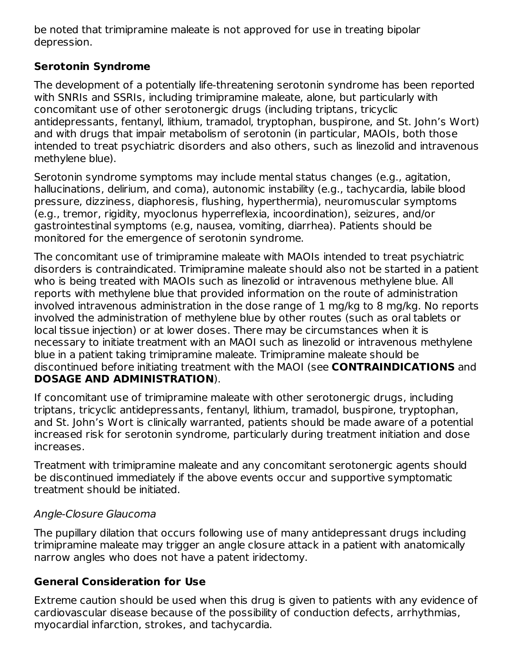be noted that trimipramine maleate is not approved for use in treating bipolar depression.

### **Serotonin Syndrome**

The development of a potentially life-threatening serotonin syndrome has been reported with SNRIs and SSRIs, including trimipramine maleate, alone, but particularly with concomitant use of other serotonergic drugs (including triptans, tricyclic antidepressants, fentanyl, lithium, tramadol, tryptophan, buspirone, and St. John's Wort) and with drugs that impair metabolism of serotonin (in particular, MAOIs, both those intended to treat psychiatric disorders and also others, such as linezolid and intravenous methylene blue).

Serotonin syndrome symptoms may include mental status changes (e.g., agitation, hallucinations, delirium, and coma), autonomic instability (e.g., tachycardia, labile blood pressure, dizziness, diaphoresis, flushing, hyperthermia), neuromuscular symptoms (e.g., tremor, rigidity, myoclonus hyperreflexia, incoordination), seizures, and/or gastrointestinal symptoms (e.g, nausea, vomiting, diarrhea). Patients should be monitored for the emergence of serotonin syndrome.

The concomitant use of trimipramine maleate with MAOIs intended to treat psychiatric disorders is contraindicated. Trimipramine maleate should also not be started in a patient who is being treated with MAOIs such as linezolid or intravenous methylene blue. All reports with methylene blue that provided information on the route of administration involved intravenous administration in the dose range of 1 mg/kg to 8 mg/kg. No reports involved the administration of methylene blue by other routes (such as oral tablets or local tissue injection) or at lower doses. There may be circumstances when it is necessary to initiate treatment with an MAOI such as linezolid or intravenous methylene blue in a patient taking trimipramine maleate. Trimipramine maleate should be discontinued before initiating treatment with the MAOI (see **CONTRAINDICATIONS** and **DOSAGE AND ADMINISTRATION**).

If concomitant use of trimipramine maleate with other serotonergic drugs, including triptans, tricyclic antidepressants, fentanyl, lithium, tramadol, buspirone, tryptophan, and St. John's Wort is clinically warranted, patients should be made aware of a potential increased risk for serotonin syndrome, particularly during treatment initiation and dose increases.

Treatment with trimipramine maleate and any concomitant serotonergic agents should be discontinued immediately if the above events occur and supportive symptomatic treatment should be initiated.

# Angle-Closure Glaucoma

The pupillary dilation that occurs following use of many antidepressant drugs including trimipramine maleate may trigger an angle closure attack in a patient with anatomically narrow angles who does not have a patent iridectomy.

# **General Consideration for Use**

Extreme caution should be used when this drug is given to patients with any evidence of cardiovascular disease because of the possibility of conduction defects, arrhythmias, myocardial infarction, strokes, and tachycardia.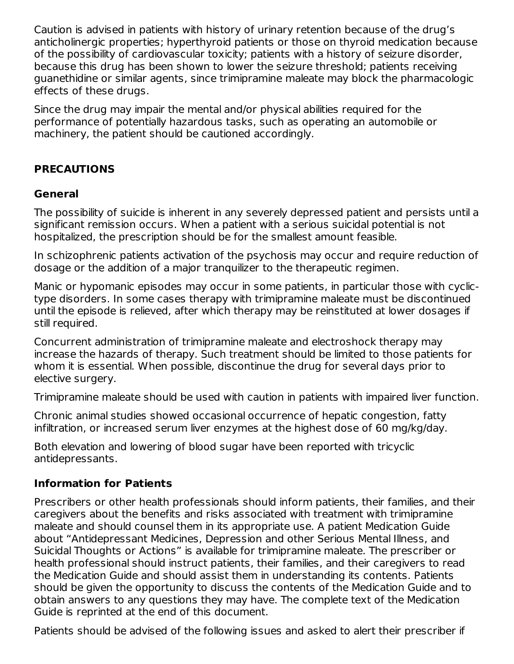Caution is advised in patients with history of urinary retention because of the drug's anticholinergic properties; hyperthyroid patients or those on thyroid medication because of the possibility of cardiovascular toxicity; patients with a history of seizure disorder, because this drug has been shown to lower the seizure threshold; patients receiving guanethidine or similar agents, since trimipramine maleate may block the pharmacologic effects of these drugs.

Since the drug may impair the mental and/or physical abilities required for the performance of potentially hazardous tasks, such as operating an automobile or machinery, the patient should be cautioned accordingly.

# **PRECAUTIONS**

# **General**

The possibility of suicide is inherent in any severely depressed patient and persists until a significant remission occurs. When a patient with a serious suicidal potential is not hospitalized, the prescription should be for the smallest amount feasible.

In schizophrenic patients activation of the psychosis may occur and require reduction of dosage or the addition of a major tranquilizer to the therapeutic regimen.

Manic or hypomanic episodes may occur in some patients, in particular those with cyclictype disorders. In some cases therapy with trimipramine maleate must be discontinued until the episode is relieved, after which therapy may be reinstituted at lower dosages if still required.

Concurrent administration of trimipramine maleate and electroshock therapy may increase the hazards of therapy. Such treatment should be limited to those patients for whom it is essential. When possible, discontinue the drug for several days prior to elective surgery.

Trimipramine maleate should be used with caution in patients with impaired liver function.

Chronic animal studies showed occasional occurrence of hepatic congestion, fatty infiltration, or increased serum liver enzymes at the highest dose of 60 mg/kg/day.

Both elevation and lowering of blood sugar have been reported with tricyclic antidepressants.

# **Information for Patients**

Prescribers or other health professionals should inform patients, their families, and their caregivers about the benefits and risks associated with treatment with trimipramine maleate and should counsel them in its appropriate use. A patient Medication Guide about "Antidepressant Medicines, Depression and other Serious Mental Illness, and Suicidal Thoughts or Actions" is available for trimipramine maleate. The prescriber or health professional should instruct patients, their families, and their caregivers to read the Medication Guide and should assist them in understanding its contents. Patients should be given the opportunity to discuss the contents of the Medication Guide and to obtain answers to any questions they may have. The complete text of the Medication Guide is reprinted at the end of this document.

Patients should be advised of the following issues and asked to alert their prescriber if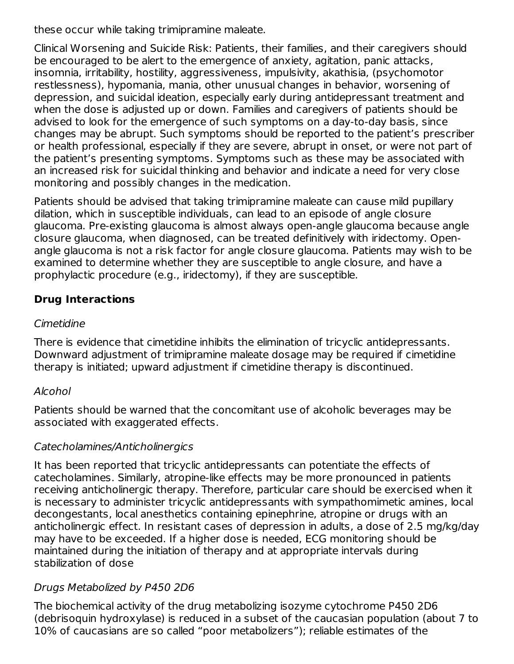these occur while taking trimipramine maleate.

Clinical Worsening and Suicide Risk: Patients, their families, and their caregivers should be encouraged to be alert to the emergence of anxiety, agitation, panic attacks, insomnia, irritability, hostility, aggressiveness, impulsivity, akathisia, (psychomotor restlessness), hypomania, mania, other unusual changes in behavior, worsening of depression, and suicidal ideation, especially early during antidepressant treatment and when the dose is adjusted up or down. Families and caregivers of patients should be advised to look for the emergence of such symptoms on a day-to-day basis, since changes may be abrupt. Such symptoms should be reported to the patient's prescriber or health professional, especially if they are severe, abrupt in onset, or were not part of the patient's presenting symptoms. Symptoms such as these may be associated with an increased risk for suicidal thinking and behavior and indicate a need for very close monitoring and possibly changes in the medication.

Patients should be advised that taking trimipramine maleate can cause mild pupillary dilation, which in susceptible individuals, can lead to an episode of angle closure glaucoma. Pre-existing glaucoma is almost always open-angle glaucoma because angle closure glaucoma, when diagnosed, can be treated definitively with iridectomy. Openangle glaucoma is not a risk factor for angle closure glaucoma. Patients may wish to be examined to determine whether they are susceptible to angle closure, and have a prophylactic procedure (e.g., iridectomy), if they are susceptible.

# **Drug Interactions**

### Cimetidine

There is evidence that cimetidine inhibits the elimination of tricyclic antidepressants. Downward adjustment of trimipramine maleate dosage may be required if cimetidine therapy is initiated; upward adjustment if cimetidine therapy is discontinued.

## Alcohol

Patients should be warned that the concomitant use of alcoholic beverages may be associated with exaggerated effects.

### Catecholamines/Anticholinergics

It has been reported that tricyclic antidepressants can potentiate the effects of catecholamines. Similarly, atropine-like effects may be more pronounced in patients receiving anticholinergic therapy. Therefore, particular care should be exercised when it is necessary to administer tricyclic antidepressants with sympathomimetic amines, local decongestants, local anesthetics containing epinephrine, atropine or drugs with an anticholinergic effect. In resistant cases of depression in adults, a dose of 2.5 mg/kg/day may have to be exceeded. If a higher dose is needed, ECG monitoring should be maintained during the initiation of therapy and at appropriate intervals during stabilization of dose

## Drugs Metabolized by P450 2D6

The biochemical activity of the drug metabolizing isozyme cytochrome P450 2D6 (debrisoquin hydroxylase) is reduced in a subset of the caucasian population (about 7 to 10% of caucasians are so called "poor metabolizers"); reliable estimates of the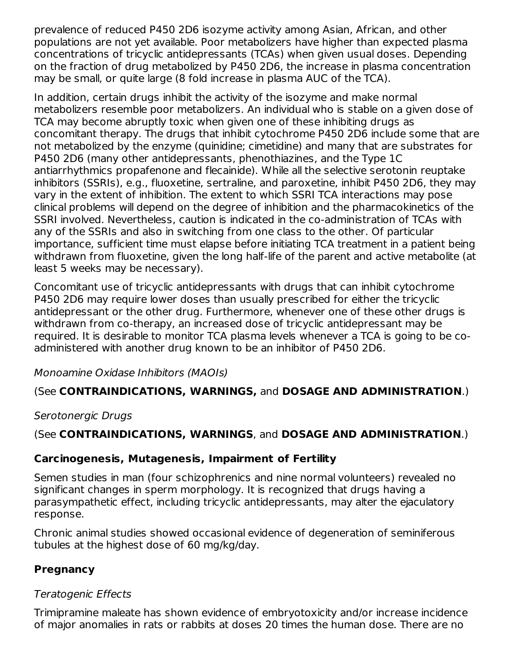prevalence of reduced P450 2D6 isozyme activity among Asian, African, and other populations are not yet available. Poor metabolizers have higher than expected plasma concentrations of tricyclic antidepressants (TCAs) when given usual doses. Depending on the fraction of drug metabolized by P450 2D6, the increase in plasma concentration may be small, or quite large (8 fold increase in plasma AUC of the TCA).

In addition, certain drugs inhibit the activity of the isozyme and make normal metabolizers resemble poor metabolizers. An individual who is stable on a given dose of TCA may become abruptly toxic when given one of these inhibiting drugs as concomitant therapy. The drugs that inhibit cytochrome P450 2D6 include some that are not metabolized by the enzyme (quinidine; cimetidine) and many that are substrates for P450 2D6 (many other antidepressants, phenothiazines, and the Type 1C antiarrhythmics propafenone and flecainide). While all the selective serotonin reuptake inhibitors (SSRIs), e.g., fluoxetine, sertraline, and paroxetine, inhibit P450 2D6, they may vary in the extent of inhibition. The extent to which SSRI TCA interactions may pose clinical problems will depend on the degree of inhibition and the pharmacokinetics of the SSRI involved. Nevertheless, caution is indicated in the co-administration of TCAs with any of the SSRIs and also in switching from one class to the other. Of particular importance, sufficient time must elapse before initiating TCA treatment in a patient being withdrawn from fluoxetine, given the long half-life of the parent and active metabolite (at least 5 weeks may be necessary).

Concomitant use of tricyclic antidepressants with drugs that can inhibit cytochrome P450 2D6 may require lower doses than usually prescribed for either the tricyclic antidepressant or the other drug. Furthermore, whenever one of these other drugs is withdrawn from co-therapy, an increased dose of tricyclic antidepressant may be required. It is desirable to monitor TCA plasma levels whenever a TCA is going to be coadministered with another drug known to be an inhibitor of P450 2D6.

Monoamine Oxidase Inhibitors (MAOIs)

## (See **CONTRAINDICATIONS, WARNINGS,** and **DOSAGE AND ADMINISTRATION**.)

### Serotonergic Drugs

### (See **CONTRAINDICATIONS, WARNINGS**, and **DOSAGE AND ADMINISTRATION**.)

### **Carcinogenesis, Mutagenesis, Impairment of Fertility**

Semen studies in man (four schizophrenics and nine normal volunteers) revealed no significant changes in sperm morphology. It is recognized that drugs having a parasympathetic effect, including tricyclic antidepressants, may alter the ejaculatory response.

Chronic animal studies showed occasional evidence of degeneration of seminiferous tubules at the highest dose of 60 mg/kg/day.

### **Pregnancy**

### Teratogenic Effects

Trimipramine maleate has shown evidence of embryotoxicity and/or increase incidence of major anomalies in rats or rabbits at doses 20 times the human dose. There are no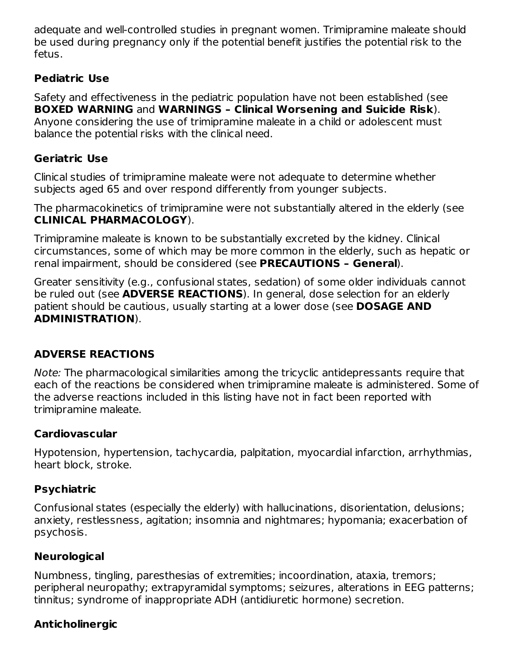adequate and well-controlled studies in pregnant women. Trimipramine maleate should be used during pregnancy only if the potential benefit justifies the potential risk to the fetus.

## **Pediatric Use**

Safety and effectiveness in the pediatric population have not been established (see **BOXED WARNING** and **WARNINGS – Clinical Worsening and Suicide Risk**). Anyone considering the use of trimipramine maleate in a child or adolescent must balance the potential risks with the clinical need.

## **Geriatric Use**

Clinical studies of trimipramine maleate were not adequate to determine whether subjects aged 65 and over respond differently from younger subjects.

The pharmacokinetics of trimipramine were not substantially altered in the elderly (see **CLINICAL PHARMACOLOGY**).

Trimipramine maleate is known to be substantially excreted by the kidney. Clinical circumstances, some of which may be more common in the elderly, such as hepatic or renal impairment, should be considered (see **PRECAUTIONS – General**).

Greater sensitivity (e.g., confusional states, sedation) of some older individuals cannot be ruled out (see **ADVERSE REACTIONS**). In general, dose selection for an elderly patient should be cautious, usually starting at a lower dose (see **DOSAGE AND ADMINISTRATION**).

# **ADVERSE REACTIONS**

Note: The pharmacological similarities among the tricyclic antidepressants require that each of the reactions be considered when trimipramine maleate is administered. Some of the adverse reactions included in this listing have not in fact been reported with trimipramine maleate.

## **Cardiovascular**

Hypotension, hypertension, tachycardia, palpitation, myocardial infarction, arrhythmias, heart block, stroke.

## **Psychiatric**

Confusional states (especially the elderly) with hallucinations, disorientation, delusions; anxiety, restlessness, agitation; insomnia and nightmares; hypomania; exacerbation of psychosis.

## **Neurological**

Numbness, tingling, paresthesias of extremities; incoordination, ataxia, tremors; peripheral neuropathy; extrapyramidal symptoms; seizures, alterations in EEG patterns; tinnitus; syndrome of inappropriate ADH (antidiuretic hormone) secretion.

# **Anticholinergic**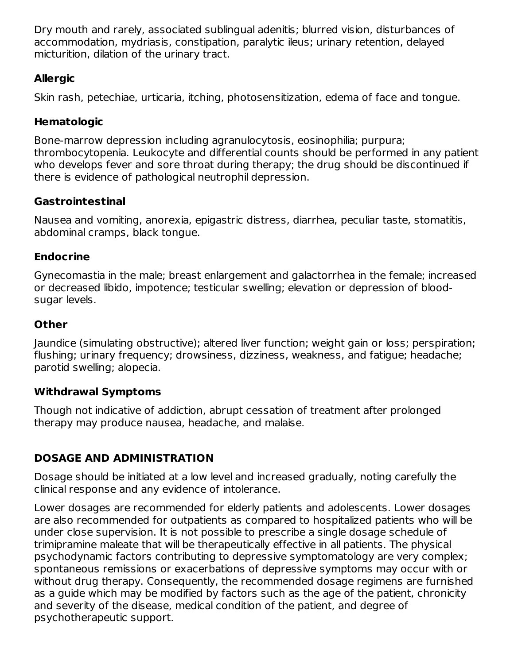Dry mouth and rarely, associated sublingual adenitis; blurred vision, disturbances of accommodation, mydriasis, constipation, paralytic ileus; urinary retention, delayed micturition, dilation of the urinary tract.

## **Allergic**

Skin rash, petechiae, urticaria, itching, photosensitization, edema of face and tongue.

# **Hematologic**

Bone-marrow depression including agranulocytosis, eosinophilia; purpura; thrombocytopenia. Leukocyte and differential counts should be performed in any patient who develops fever and sore throat during therapy; the drug should be discontinued if there is evidence of pathological neutrophil depression.

# **Gastrointestinal**

Nausea and vomiting, anorexia, epigastric distress, diarrhea, peculiar taste, stomatitis, abdominal cramps, black tongue.

# **Endocrine**

Gynecomastia in the male; breast enlargement and galactorrhea in the female; increased or decreased libido, impotence; testicular swelling; elevation or depression of bloodsugar levels.

# **Other**

Jaundice (simulating obstructive); altered liver function; weight gain or loss; perspiration; flushing; urinary frequency; drowsiness, dizziness, weakness, and fatigue; headache; parotid swelling; alopecia.

# **Withdrawal Symptoms**

Though not indicative of addiction, abrupt cessation of treatment after prolonged therapy may produce nausea, headache, and malaise.

# **DOSAGE AND ADMINISTRATION**

Dosage should be initiated at a low level and increased gradually, noting carefully the clinical response and any evidence of intolerance.

Lower dosages are recommended for elderly patients and adolescents. Lower dosages are also recommended for outpatients as compared to hospitalized patients who will be under close supervision. It is not possible to prescribe a single dosage schedule of trimipramine maleate that will be therapeutically effective in all patients. The physical psychodynamic factors contributing to depressive symptomatology are very complex; spontaneous remissions or exacerbations of depressive symptoms may occur with or without drug therapy. Consequently, the recommended dosage regimens are furnished as a guide which may be modified by factors such as the age of the patient, chronicity and severity of the disease, medical condition of the patient, and degree of psychotherapeutic support.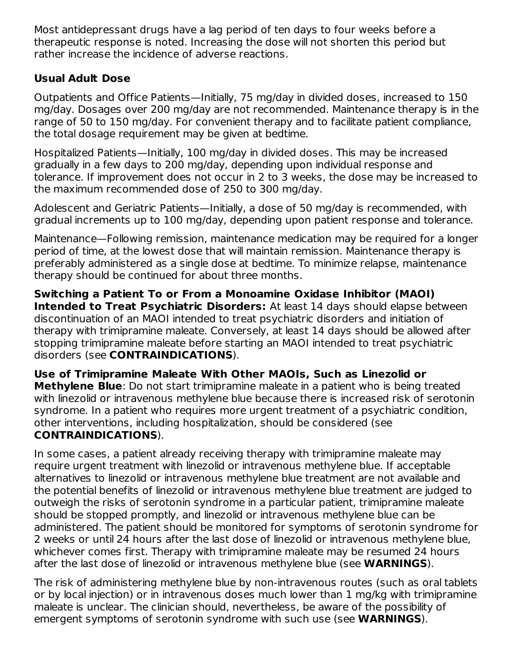Most antidepressant drugs have a lag period of ten days to four weeks before a therapeutic response is noted. Increasing the dose will not shorten this period but rather increase the incidence of adverse reactions.

### **Usual Adult Dose**

Outpatients and Office Patients—Initially, 75 mg/day in divided doses, increased to 150 mg/day. Dosages over 200 mg/day are not recommended. Maintenance therapy is in the range of 50 to 150 mg/day. For convenient therapy and to facilitate patient compliance, the total dosage requirement may be given at bedtime.

Hospitalized Patients—Initially, 100 mg/day in divided doses. This may be increased gradually in a few days to 200 mg/day, depending upon individual response and tolerance. If improvement does not occur in 2 to 3 weeks, the dose may be increased to the maximum recommended dose of 250 to 300 mg/day.

Adolescent and Geriatric Patients—Initially, a dose of 50 mg/day is recommended, with gradual increments up to 100 mg/day, depending upon patient response and tolerance.

Maintenance—Following remission, maintenance medication may be required for a longer period of time, at the lowest dose that will maintain remission. Maintenance therapy is preferably administered as a single dose at bedtime. To minimize relapse, maintenance therapy should be continued for about three months.

**Switching a Patient To or From a Monoamine Oxidase Inhibitor (MAOI) Intended to Treat Psychiatric Disorders:** At least 14 days should elapse between discontinuation of an MAOI intended to treat psychiatric disorders and initiation of therapy with trimipramine maleate. Conversely, at least 14 days should be allowed after stopping trimipramine maleate before starting an MAOI intended to treat psychiatric disorders (see **CONTRAINDICATIONS**).

**Use of Trimipramine Maleate With Other MAOIs, Such as Linezolid or Methylene Blue**: Do not start trimipramine maleate in a patient who is being treated with linezolid or intravenous methylene blue because there is increased risk of serotonin syndrome. In a patient who requires more urgent treatment of a psychiatric condition, other interventions, including hospitalization, should be considered (see **CONTRAINDICATIONS**).

In some cases, a patient already receiving therapy with trimipramine maleate may require urgent treatment with linezolid or intravenous methylene blue. If acceptable alternatives to linezolid or intravenous methylene blue treatment are not available and the potential benefits of linezolid or intravenous methylene blue treatment are judged to outweigh the risks of serotonin syndrome in a particular patient, trimipramine maleate should be stopped promptly, and linezolid or intravenous methylene blue can be administered. The patient should be monitored for symptoms of serotonin syndrome for 2 weeks or until 24 hours after the last dose of linezolid or intravenous methylene blue, whichever comes first. Therapy with trimipramine maleate may be resumed 24 hours after the last dose of linezolid or intravenous methylene blue (see **WARNINGS**).

The risk of administering methylene blue by non-intravenous routes (such as oral tablets or by local injection) or in intravenous doses much lower than 1 mg/kg with trimipramine maleate is unclear. The clinician should, nevertheless, be aware of the possibility of emergent symptoms of serotonin syndrome with such use (see **WARNINGS**).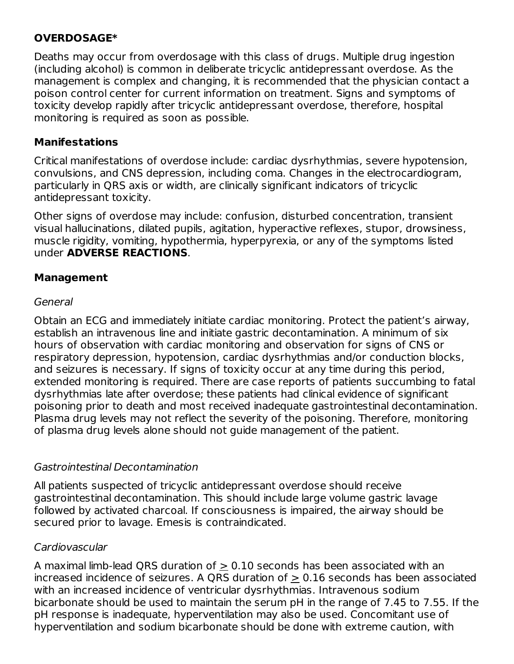## **OVERDOSAGE\***

Deaths may occur from overdosage with this class of drugs. Multiple drug ingestion (including alcohol) is common in deliberate tricyclic antidepressant overdose. As the management is complex and changing, it is recommended that the physician contact a poison control center for current information on treatment. Signs and symptoms of toxicity develop rapidly after tricyclic antidepressant overdose, therefore, hospital monitoring is required as soon as possible.

## **Manifestations**

Critical manifestations of overdose include: cardiac dysrhythmias, severe hypotension, convulsions, and CNS depression, including coma. Changes in the electrocardiogram, particularly in QRS axis or width, are clinically significant indicators of tricyclic antidepressant toxicity.

Other signs of overdose may include: confusion, disturbed concentration, transient visual hallucinations, dilated pupils, agitation, hyperactive reflexes, stupor, drowsiness, muscle rigidity, vomiting, hypothermia, hyperpyrexia, or any of the symptoms listed under **ADVERSE REACTIONS**.

### **Management**

### General

Obtain an ECG and immediately initiate cardiac monitoring. Protect the patient's airway, establish an intravenous line and initiate gastric decontamination. A minimum of six hours of observation with cardiac monitoring and observation for signs of CNS or respiratory depression, hypotension, cardiac dysrhythmias and/or conduction blocks, and seizures is necessary. If signs of toxicity occur at any time during this period, extended monitoring is required. There are case reports of patients succumbing to fatal dysrhythmias late after overdose; these patients had clinical evidence of significant poisoning prior to death and most received inadequate gastrointestinal decontamination. Plasma drug levels may not reflect the severity of the poisoning. Therefore, monitoring of plasma drug levels alone should not guide management of the patient.

## Gastrointestinal Decontamination

All patients suspected of tricyclic antidepressant overdose should receive gastrointestinal decontamination. This should include large volume gastric lavage followed by activated charcoal. If consciousness is impaired, the airway should be secured prior to lavage. Emesis is contraindicated.

## Cardiovascular

A maximal limb-lead QRS duration of  $\geq$  0.10 seconds has been associated with an increased incidence of seizures. A QRS duration of  $> 0.16$  seconds has been associated with an increased incidence of ventricular dysrhythmias. Intravenous sodium bicarbonate should be used to maintain the serum pH in the range of 7.45 to 7.55. If the pH response is inadequate, hyperventilation may also be used. Concomitant use of hyperventilation and sodium bicarbonate should be done with extreme caution, with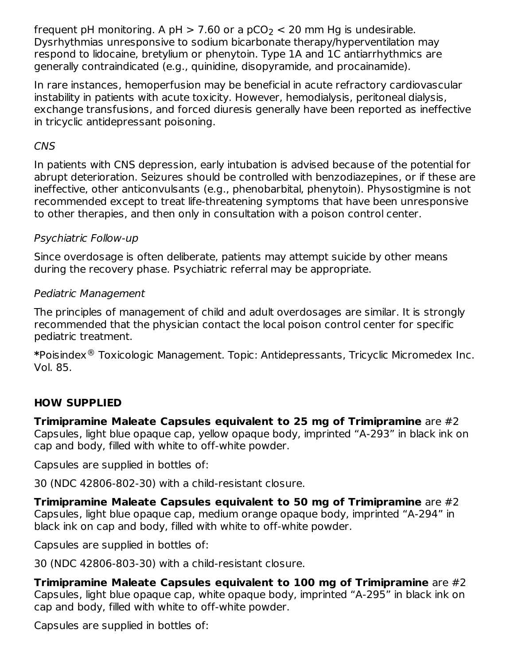frequent pH monitoring. A pH  $> 7.60$  or a pCO $_2$   $<$  20 mm Hg is undesirable. Dysrhythmias unresponsive to sodium bicarbonate therapy/hyperventilation may respond to lidocaine, bretylium or phenytoin. Type 1A and 1C antiarrhythmics are generally contraindicated (e.g., quinidine, disopyramide, and procainamide).

In rare instances, hemoperfusion may be beneficial in acute refractory cardiovascular instability in patients with acute toxicity. However, hemodialysis, peritoneal dialysis, exchange transfusions, and forced diuresis generally have been reported as ineffective in tricyclic antidepressant poisoning.

## CNS

In patients with CNS depression, early intubation is advised because of the potential for abrupt deterioration. Seizures should be controlled with benzodiazepines, or if these are ineffective, other anticonvulsants (e.g., phenobarbital, phenytoin). Physostigmine is not recommended except to treat life-threatening symptoms that have been unresponsive to other therapies, and then only in consultation with a poison control center.

### Psychiatric Follow-up

Since overdosage is often deliberate, patients may attempt suicide by other means during the recovery phase. Psychiatric referral may be appropriate.

### Pediatric Management

The principles of management of child and adult overdosages are similar. It is strongly recommended that the physician contact the local poison control center for specific pediatric treatment.

**\***Poisindex Toxicologic Management. Topic: Antidepressants, Tricyclic Micromedex Inc. ®Vol. 85.

## **HOW SUPPLIED**

# **Trimipramine Maleate Capsules equivalent to 25 mg of Trimipramine** are #2

Capsules, light blue opaque cap, yellow opaque body, imprinted "A-293" in black ink on cap and body, filled with white to off-white powder.

Capsules are supplied in bottles of:

30 (NDC 42806-802-30) with a child-resistant closure.

**Trimipramine Maleate Capsules equivalent to 50 mg of Trimipramine** are #2 Capsules, light blue opaque cap, medium orange opaque body, imprinted "A-294" in black ink on cap and body, filled with white to off-white powder.

Capsules are supplied in bottles of:

30 (NDC 42806-803-30) with a child-resistant closure.

**Trimipramine Maleate Capsules equivalent to 100 mg of Trimipramine** are #2 Capsules, light blue opaque cap, white opaque body, imprinted "A-295" in black ink on cap and body, filled with white to off-white powder.

Capsules are supplied in bottles of: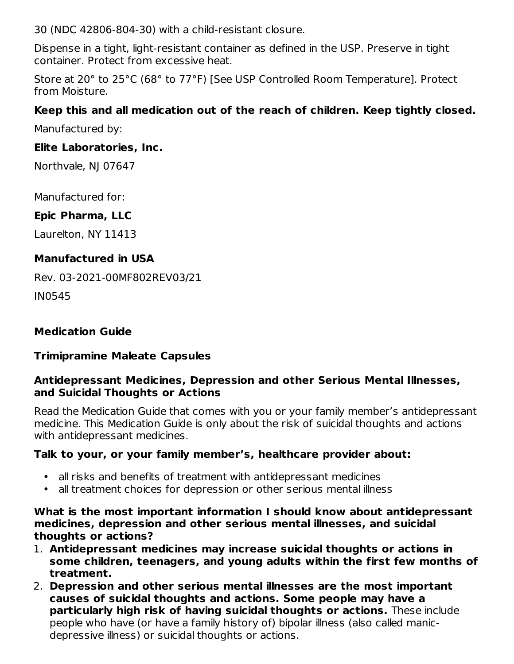30 (NDC 42806-804-30) with a child-resistant closure.

Dispense in a tight, light-resistant container as defined in the USP. Preserve in tight container. Protect from excessive heat.

Store at 20° to 25°C (68° to 77°F) [See USP Controlled Room Temperature]. Protect from Moisture.

### **Keep this and all medication out of the reach of children. Keep tightly closed.**

Manufactured by:

### **Elite Laboratories, Inc.**

Northvale, NJ 07647

Manufactured for:

## **Epic Pharma, LLC**

Laurelton, NY 11413

### **Manufactured in USA**

Rev. 03-2021-00MF802REV03/21

IN0545

### **Medication Guide**

## **Trimipramine Maleate Capsules**

### **Antidepressant Medicines, Depression and other Serious Mental Illnesses, and Suicidal Thoughts or Actions**

Read the Medication Guide that comes with you or your family member's antidepressant medicine. This Medication Guide is only about the risk of suicidal thoughts and actions with antidepressant medicines.

### **Talk to your, or your family member's, healthcare provider about:**

- all risks and benefits of treatment with antidepressant medicines
- all treatment choices for depression or other serious mental illness

### **What is the most important information I should know about antidepressant medicines, depression and other serious mental illnesses, and suicidal thoughts or actions?**

- 1. **Antidepressant medicines may increase suicidal thoughts or actions in some children, teenagers, and young adults within the first few months of treatment.**
- 2. **Depression and other serious mental illnesses are the most important causes of suicidal thoughts and actions. Some people may have a particularly high risk of having suicidal thoughts or actions.** These include people who have (or have a family history of) bipolar illness (also called manicdepressive illness) or suicidal thoughts or actions.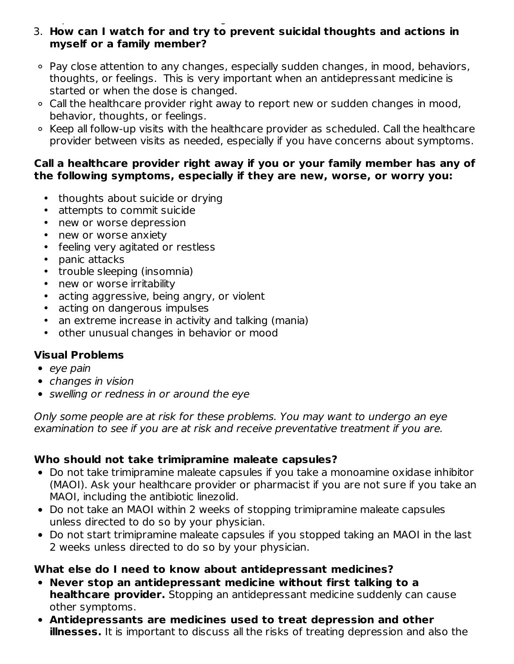#### depressive illness) or suicidal thoughts or actions. 3. **How can I watch for and try to prevent suicidal thoughts and actions in myself or a family member?**

- Pay close attention to any changes, especially sudden changes, in mood, behaviors, thoughts, or feelings. This is very important when an antidepressant medicine is started or when the dose is changed.
- Call the healthcare provider right away to report new or sudden changes in mood, behavior, thoughts, or feelings.
- ∘ Keep all follow-up visits with the healthcare provider as scheduled. Call the healthcare provider between visits as needed, especially if you have concerns about symptoms.

### **Call a healthcare provider right away if you or your family member has any of the following symptoms, especially if they are new, worse, or worry you:**

- thoughts about suicide or drying
- attempts to commit suicide
- new or worse depression
- new or worse anxiety
- feeling very agitated or restless
- panic attacks
- trouble sleeping (insomnia)
- new or worse irritability
- acting aggressive, being angry, or violent
- acting on dangerous impulses
- an extreme increase in activity and talking (mania)
- other unusual changes in behavior or mood

## **Visual Problems**

- eye pain
- changes in vision
- swelling or redness in or around the eye

Only some people are at risk for these problems. You may want to undergo an eye examination to see if you are at risk and receive preventative treatment if you are.

### **Who should not take trimipramine maleate capsules?**

- Do not take trimipramine maleate capsules if you take a monoamine oxidase inhibitor (MAOI). Ask your healthcare provider or pharmacist if you are not sure if you take an MAOI, including the antibiotic linezolid.
- Do not take an MAOI within 2 weeks of stopping trimipramine maleate capsules unless directed to do so by your physician.
- Do not start trimipramine maleate capsules if you stopped taking an MAOI in the last 2 weeks unless directed to do so by your physician.

### **What else do I need to know about antidepressant medicines?**

- **Never stop an antidepressant medicine without first talking to a healthcare provider.** Stopping an antidepressant medicine suddenly can cause other symptoms.
- **Antidepressants are medicines used to treat depression and other illnesses.** It is important to discuss all the risks of treating depression and also the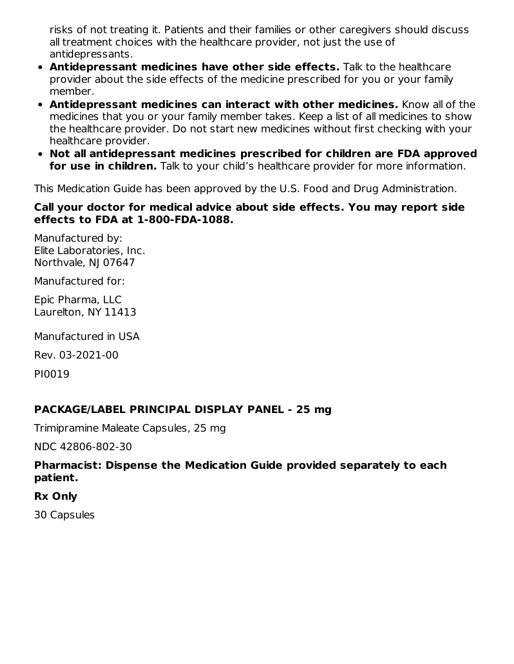risks of not treating it. Patients and their families or other caregivers should discuss all treatment choices with the healthcare provider, not just the use of antidepressants.

- **Antidepressant medicines have other side effects.** Talk to the healthcare provider about the side effects of the medicine prescribed for you or your family member.
- **Antidepressant medicines can interact with other medicines.** Know all of the medicines that you or your family member takes. Keep a list of all medicines to show the healthcare provider. Do not start new medicines without first checking with your healthcare provider.
- **Not all antidepressant medicines prescribed for children are FDA approved for use in children.** Talk to your child's healthcare provider for more information.

This Medication Guide has been approved by the U.S. Food and Drug Administration.

### **Call your doctor for medical advice about side effects. You may report side effects to FDA at 1-800-FDA-1088.**

Manufactured by: Elite Laboratories, Inc. Northvale, NJ 07647

Manufactured for:

Epic Pharma, LLC Laurelton, NY 11413

Manufactured in USA

Rev. 03-2021-00

PI0019

# **PACKAGE/LABEL PRINCIPAL DISPLAY PANEL - 25 mg**

Trimipramine Maleate Capsules, 25 mg

NDC 42806-802-30

### **Pharmacist: Dispense the Medication Guide provided separately to each patient.**

## **Rx Only**

30 Capsules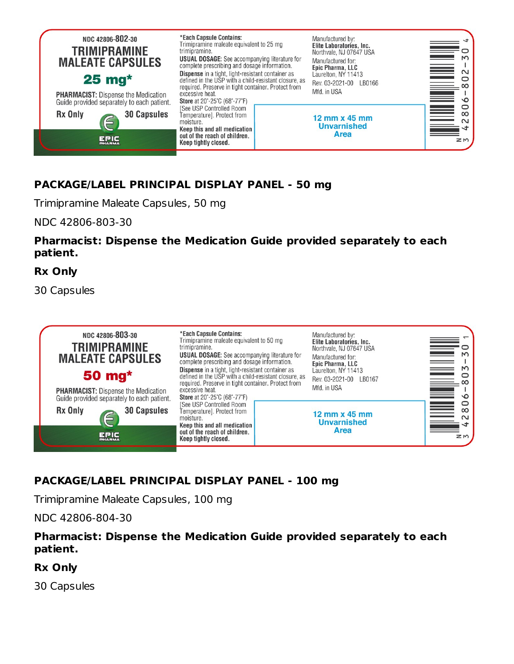

## **PACKAGE/LABEL PRINCIPAL DISPLAY PANEL - 50 mg**

Trimipramine Maleate Capsules, 50 mg

NDC 42806-803-30

### **Pharmacist: Dispense the Medication Guide provided separately to each patient.**

### **Rx Only**

30 Capsules



# **PACKAGE/LABEL PRINCIPAL DISPLAY PANEL - 100 mg**

Trimipramine Maleate Capsules, 100 mg

NDC 42806-804-30

**Pharmacist: Dispense the Medication Guide provided separately to each patient.**

### **Rx Only**

30 Capsules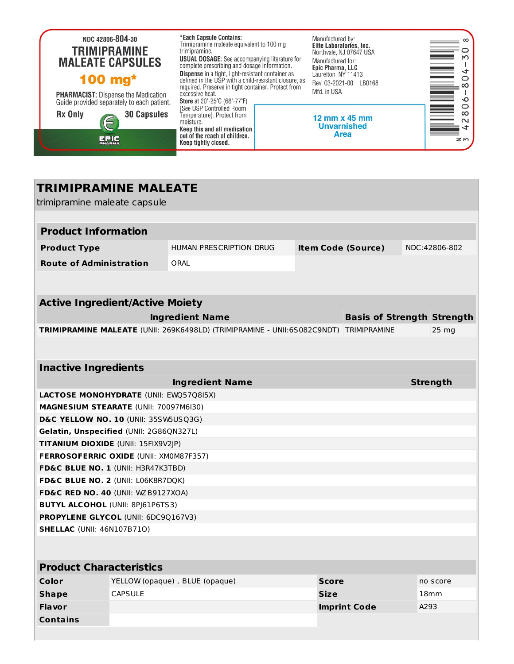

| <b>TRIMIPRAMINE MALEATE</b><br>trimipramine maleate capsule                                   |                                         |                                                                                       |                           |                                   |      |                  |
|-----------------------------------------------------------------------------------------------|-----------------------------------------|---------------------------------------------------------------------------------------|---------------------------|-----------------------------------|------|------------------|
|                                                                                               |                                         |                                                                                       |                           |                                   |      |                  |
| <b>Product Information</b>                                                                    |                                         |                                                                                       |                           |                                   |      |                  |
| <b>Product Type</b>                                                                           |                                         | HUMAN PRESCRIPTION DRUG                                                               | <b>Item Code (Source)</b> |                                   |      | NDC:42806-802    |
| <b>Route of Administration</b>                                                                |                                         | ORAL                                                                                  |                           |                                   |      |                  |
|                                                                                               |                                         |                                                                                       |                           |                                   |      |                  |
|                                                                                               |                                         |                                                                                       |                           |                                   |      |                  |
| <b>Active Ingredient/Active Moiety</b>                                                        |                                         |                                                                                       |                           |                                   |      |                  |
|                                                                                               |                                         | <b>Ingredient Name</b>                                                                |                           | <b>Basis of Strength Strength</b> |      |                  |
|                                                                                               |                                         | TRIMIPRAMINE MALEATE (UNII: 269K6498LD) (TRIMIPRAMINE - UNII:6S082C9NDT) TRIMIPRAMINE |                           |                                   |      | 25 <sub>mg</sub> |
|                                                                                               |                                         |                                                                                       |                           |                                   |      |                  |
| <b>Inactive Ingredients</b>                                                                   |                                         |                                                                                       |                           |                                   |      |                  |
|                                                                                               |                                         | <b>Ingredient Name</b>                                                                |                           |                                   |      | <b>Strength</b>  |
|                                                                                               |                                         |                                                                                       |                           |                                   |      |                  |
| <b>LACTOSE MONOHYDRATE (UNII: EWQ57Q8I5X)</b><br><b>MAGNESIUM STEARATE (UNII: 70097M6I30)</b> |                                         |                                                                                       |                           |                                   |      |                  |
| D&C YELLOW NO. 10 (UNII: 35SW5USQ3G)                                                          |                                         |                                                                                       |                           |                                   |      |                  |
| Gelatin, Unspecified (UNII: 2G86QN327L)                                                       |                                         |                                                                                       |                           |                                   |      |                  |
| TITANIUM DIOXIDE (UNII: 15FIX9V2JP)                                                           |                                         |                                                                                       |                           |                                   |      |                  |
| <b>FERROSOFERRIC OXIDE (UNII: XM0M87F357)</b>                                                 |                                         |                                                                                       |                           |                                   |      |                  |
| FD&C BLUE NO. 1 (UNII: H3R47K3TBD)                                                            |                                         |                                                                                       |                           |                                   |      |                  |
| FD&C BLUE NO. 2 (UNII: L06K8R7DQK)                                                            |                                         |                                                                                       |                           |                                   |      |                  |
| <b>FD&amp;C RED NO. 40 (UNII: WZB9127XOA)</b>                                                 |                                         |                                                                                       |                           |                                   |      |                  |
|                                                                                               | <b>BUTYL ALCOHOL (UNII: 8PJ61P6TS3)</b> |                                                                                       |                           |                                   |      |                  |
| <b>PROPYLENE GLYCOL (UNII: 6DC9Q167V3)</b>                                                    |                                         |                                                                                       |                           |                                   |      |                  |
| <b>SHELLAC (UNII: 46N107B710)</b>                                                             |                                         |                                                                                       |                           |                                   |      |                  |
|                                                                                               |                                         |                                                                                       |                           |                                   |      |                  |
| <b>Product Characteristics</b>                                                                |                                         |                                                                                       |                           |                                   |      |                  |
| Color                                                                                         |                                         | YELLOW (opaque), BLUE (opaque)                                                        | <b>Score</b>              |                                   |      | no score         |
| <b>Shape</b>                                                                                  | CAPSULE                                 |                                                                                       | <b>Size</b>               |                                   |      | 18 <sub>mm</sub> |
| <b>Flavor</b>                                                                                 |                                         |                                                                                       |                           | <b>Imprint Code</b>               | A293 |                  |
| <b>Contains</b>                                                                               |                                         |                                                                                       |                           |                                   |      |                  |
|                                                                                               |                                         |                                                                                       |                           |                                   |      |                  |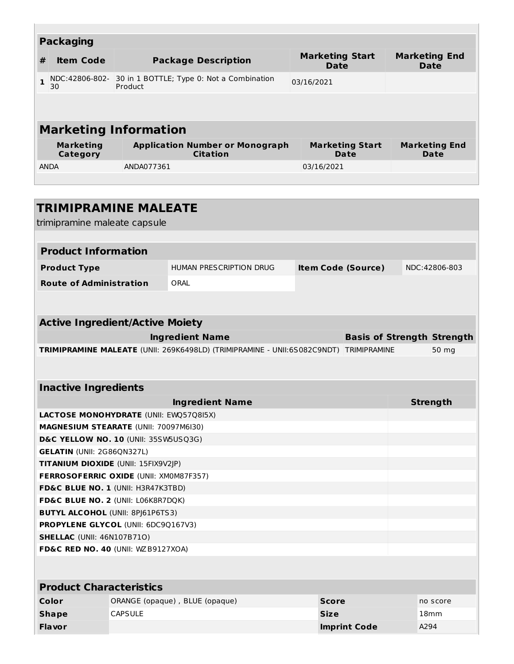| <b>Packaging</b>                     |                                                           |                                       |                                     |
|--------------------------------------|-----------------------------------------------------------|---------------------------------------|-------------------------------------|
| #<br><b>Item Code</b>                | <b>Package Description</b>                                | <b>Marketing Start</b><br>Date        | <b>Marketing End</b><br><b>Date</b> |
| NDC:42806-802-<br>$\mathbf{1}$<br>30 | 30 in 1 BOTTLE; Type 0: Not a Combination<br>Product      | 03/16/2021                            |                                     |
|                                      |                                                           |                                       |                                     |
|                                      | <b>Marketing Information</b>                              |                                       |                                     |
|                                      |                                                           |                                       |                                     |
| <b>Marketing</b><br>Category         | <b>Application Number or Monograph</b><br><b>Citation</b> | <b>Marketing Start</b><br><b>Date</b> | <b>Marketing End</b><br>Date        |
| <b>ANDA</b>                          | ANDA077361                                                | 03/16/2021                            |                                     |
|                                      |                                                           |                                       |                                     |

| <b>TRIMIPRAMINE MALEATE</b>                                                           |                                                            |                           |                                   |  |                 |  |
|---------------------------------------------------------------------------------------|------------------------------------------------------------|---------------------------|-----------------------------------|--|-----------------|--|
| trimipramine maleate capsule                                                          |                                                            |                           |                                   |  |                 |  |
|                                                                                       |                                                            |                           |                                   |  |                 |  |
| <b>Product Information</b>                                                            |                                                            |                           |                                   |  |                 |  |
| <b>Product Type</b>                                                                   | <b>HUMAN PRESCRIPTION DRUG</b>                             | <b>Item Code (Source)</b> |                                   |  | NDC:42806-803   |  |
| <b>Route of Administration</b>                                                        | ORAL                                                       |                           |                                   |  |                 |  |
|                                                                                       |                                                            |                           |                                   |  |                 |  |
| <b>Active Ingredient/Active Moiety</b>                                                |                                                            |                           |                                   |  |                 |  |
|                                                                                       | <b>Ingredient Name</b>                                     |                           | <b>Basis of Strength Strength</b> |  |                 |  |
| TRIMIPRAMINE MALEATE (UNII: 269K6498LD) (TRIMIPRAMINE - UNII:6S082C9NDT) TRIMIPRAMINE |                                                            |                           |                                   |  | 50 mg           |  |
|                                                                                       |                                                            |                           |                                   |  |                 |  |
| <b>Inactive Ingredients</b>                                                           |                                                            |                           |                                   |  |                 |  |
|                                                                                       | <b>Ingredient Name</b>                                     |                           |                                   |  | <b>Strength</b> |  |
| LACTOSE MONOHYDRATE (UNII: EWQ57Q8I5X)                                                |                                                            |                           |                                   |  |                 |  |
| <b>MAGNESIUM STEARATE (UNII: 70097M6I30)</b>                                          |                                                            |                           |                                   |  |                 |  |
| D&C YELLOW NO. 10 (UNII: 35SW5USQ3G)                                                  |                                                            |                           |                                   |  |                 |  |
| <b>GELATIN (UNII: 2G86QN327L)</b>                                                     |                                                            |                           |                                   |  |                 |  |
| <b>TITANIUM DIOXIDE</b> (UNII: 15FIX9V2JP)                                            |                                                            |                           |                                   |  |                 |  |
| FERROSOFERRIC OXIDE (UNII: XM0M87F357)                                                |                                                            |                           |                                   |  |                 |  |
|                                                                                       | FD&C BLUE NO. 1 (UNII: H3R47K3TBD)                         |                           |                                   |  |                 |  |
| FD&C BLUE NO. 2 (UNII: L06K8R7DQK)                                                    |                                                            |                           |                                   |  |                 |  |
| <b>BUTYL ALCOHOL (UNII: 8PJ61P6TS3)</b>                                               |                                                            |                           |                                   |  |                 |  |
| PROPYLENE GLYCOL (UNII: 6DC9Q167V3)                                                   |                                                            |                           |                                   |  |                 |  |
| <b>SHELLAC (UNII: 46N107B710)</b>                                                     |                                                            |                           |                                   |  |                 |  |
| <b>FD&amp;C RED NO. 40 (UNII: WZB9127XOA)</b>                                         |                                                            |                           |                                   |  |                 |  |
|                                                                                       |                                                            |                           |                                   |  |                 |  |
| <b>Product Characteristics</b>                                                        |                                                            |                           |                                   |  |                 |  |
| Color                                                                                 | ORANGE (opaque), BLUE (opaque)<br><b>Score</b><br>no score |                           |                                   |  |                 |  |
| <b>CAPSULE</b><br><b>Shape</b>                                                        | Size<br>18 <sub>mm</sub>                                   |                           |                                   |  |                 |  |
| <b>Flavor</b>                                                                         | A294<br><b>Imprint Code</b>                                |                           |                                   |  |                 |  |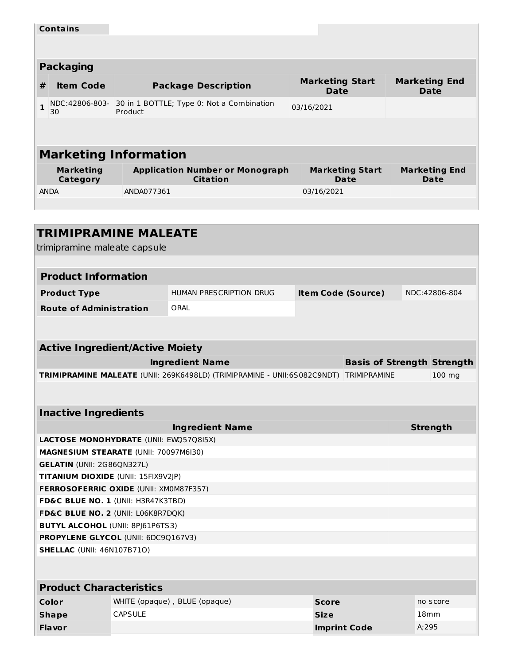|   | <b>Contains</b>                        |            |                                                                                       |                                       |                                   |                                     |
|---|----------------------------------------|------------|---------------------------------------------------------------------------------------|---------------------------------------|-----------------------------------|-------------------------------------|
|   |                                        |            |                                                                                       |                                       |                                   |                                     |
|   |                                        |            |                                                                                       |                                       |                                   |                                     |
|   | <b>Packaging</b>                       |            |                                                                                       |                                       |                                   |                                     |
| # | <b>Item Code</b>                       |            | <b>Package Description</b>                                                            | <b>Marketing Start</b><br><b>Date</b> |                                   | <b>Marketing End</b><br><b>Date</b> |
| 1 | 30                                     | Product    | NDC:42806-803- 30 in 1 BOTTLE; Type 0: Not a Combination                              | 03/16/2021                            |                                   |                                     |
|   |                                        |            |                                                                                       |                                       |                                   |                                     |
|   | <b>Marketing Information</b>           |            |                                                                                       |                                       |                                   |                                     |
|   | <b>Marketing</b><br>Category           |            | <b>Application Number or Monograph</b><br>Citation                                    |                                       | <b>Marketing Start</b><br>Date    | <b>Marketing End</b><br><b>Date</b> |
|   | <b>ANDA</b>                            | ANDA077361 |                                                                                       | 03/16/2021                            |                                   |                                     |
|   |                                        |            |                                                                                       |                                       |                                   |                                     |
|   |                                        |            |                                                                                       |                                       |                                   |                                     |
|   | <b>TRIMIPRAMINE MALEATE</b>            |            |                                                                                       |                                       |                                   |                                     |
|   | trimipramine maleate capsule           |            |                                                                                       |                                       |                                   |                                     |
|   |                                        |            |                                                                                       |                                       |                                   |                                     |
|   | <b>Product Information</b>             |            |                                                                                       |                                       |                                   |                                     |
|   | <b>Product Type</b>                    |            | <b>HUMAN PRESCRIPTION DRUG</b>                                                        | <b>Item Code (Source)</b>             |                                   | NDC:42806-804                       |
|   | <b>Route of Administration</b>         |            | <b>ORAL</b>                                                                           |                                       |                                   |                                     |
|   |                                        |            |                                                                                       |                                       |                                   |                                     |
|   |                                        |            |                                                                                       |                                       |                                   |                                     |
|   | <b>Active Ingredient/Active Moiety</b> |            |                                                                                       |                                       |                                   |                                     |
|   |                                        |            | <b>Ingredient Name</b>                                                                |                                       | <b>Basis of Strength Strength</b> |                                     |
|   |                                        |            | TRIMIPRAMINE MALEATE (UNII: 269K6498LD) (TRIMIPRAMINE - UNII:6S082C9NDT) TRIMIPRAMINE |                                       |                                   | 100 mg                              |
|   |                                        |            |                                                                                       |                                       |                                   |                                     |
|   | <b>Inactive Ingredients</b>            |            |                                                                                       |                                       |                                   |                                     |
|   |                                        |            |                                                                                       |                                       |                                   |                                     |

| <b>Ingredient Name</b>                        | <b>Strength</b> |
|-----------------------------------------------|-----------------|
| <b>LACTOSE MONOHYDRATE (UNII: EWQ57Q8I5X)</b> |                 |
| <b>MAGNESIUM STEARATE (UNII: 70097M6I30)</b>  |                 |
| <b>GELATIN (UNII: 2G86QN327L)</b>             |                 |
| TITANIUM DIOXIDE (UNII: 15FIX9V2JP)           |                 |
| <b>FERROSOFERRIC OXIDE (UNII: XMOM87F357)</b> |                 |
| <b>FD&amp;C BLUE NO. 1 (UNII: H3R47K3TBD)</b> |                 |
| <b>FD&amp;C BLUE NO. 2 (UNII: L06K8R7DQK)</b> |                 |
| <b>BUTYL ALCOHOL (UNII: 8PJ61P6TS3)</b>       |                 |
| <b>PROPYLENE GLYCOL (UNII: 6DC9Q167V3)</b>    |                 |
| <b>SHELLAC</b> (UNII: 46N107B71O)             |                 |
|                                               |                 |
| <b>Product Characteristics</b>                |                 |

| __________________________ |                               |                     |          |
|----------------------------|-------------------------------|---------------------|----------|
| Color                      | WHITE (opaque), BLUE (opaque) | <b>Score</b>        | no score |
| Shape                      | CAPSULE                       | <b>Size</b>         | 18mm     |
| ∣ Flavor                   |                               | <b>Imprint Code</b> | A:295    |